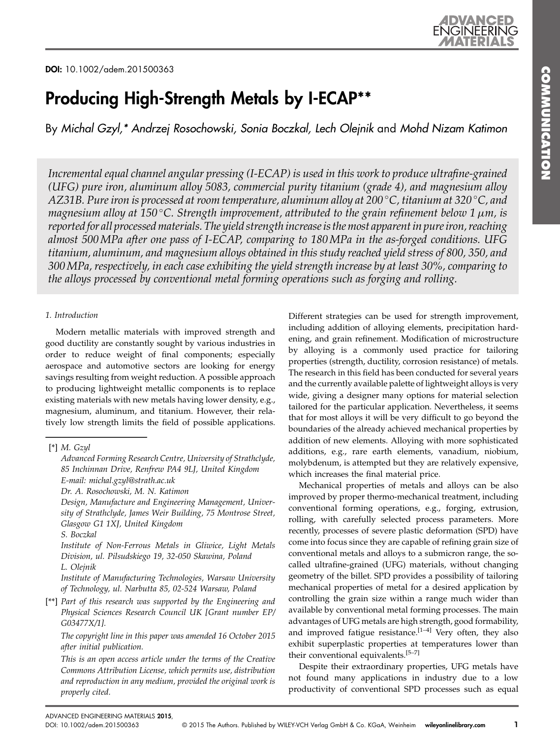# Producing High-Strength Metals by I-ECAP\*\*

By Michal Gzyl,\* Andrzej Rosochowski, Sonia Boczkal, Lech Olejnik and Mohd Nizam Katimon

Incremental equal channel angular pressing (I-ECAP) is used in this work to produce ultrafine-grained (UFG) pure iron, aluminum alloy 5083, commercial purity titanium (grade 4), and magnesium alloy AZ31B. Pure iron is processed at room temperature, aluminum alloy at 200 °C, titanium at 320 °C, and magnesium alloy at 150 °C. Strength improvement, attributed to the grain refinement below 1  $\mu$ m, is reported for all processed materials. The yield strength increase is the most apparent in pure iron, reaching almost 500MPa after one pass of I-ECAP, comparing to 180MPa in the as-forged conditions. UFG titanium, aluminum, and magnesium alloys obtained in this study reached yield stress of 800, 350, and 300MPa, respectively, in each case exhibiting the yield strength increase by at least 30%, comparing to the alloys processed by conventional metal forming operations such as forging and rolling.

# 1. Introduction

Modern metallic materials with improved strength and good ductility are constantly sought by various industries in order to reduce weight of final components; especially aerospace and automotive sectors are looking for energy savings resulting from weight reduction. A possible approach to producing lightweight metallic components is to replace existing materials with new metals having lower density, e.g., magnesium, aluminum, and titanium. However, their relatively low strength limits the field of possible applications.

[\*\*] Part of this research was supported by the Engineering and Physical Sciences Research Council UK [Grant number EP/ G03477X/1].

The copyright line in this paper was amended 16 October 2015 after initial publication.

This is an open access article under the terms of the [Creative](http://creativecommons.org/licenses/by/4.0/) [Commons Attribution](http://creativecommons.org/licenses/by/4.0/) License, which permits use, distribution and reproduction in any medium, provided the original work is properly cited.

Different strategies can be used for strength improvement, including addition of alloying elements, precipitation hardening, and grain refinement. Modification of microstructure by alloying is a commonly used practice for tailoring properties (strength, ductility, corrosion resistance) of metals. The research in this field has been conducted for several years and the currently available palette of lightweight alloys is very wide, giving a designer many options for material selection tailored for the particular application. Nevertheless, it seems that for most alloys it will be very difficult to go beyond the boundaries of the already achieved mechanical properties by addition of new elements. Alloying with more sophisticated additions, e.g., rare earth elements, vanadium, niobium, molybdenum, is attempted but they are relatively expensive, which increases the final material price.

Mechanical properties of metals and alloys can be also improved by proper thermo-mechanical treatment, including conventional forming operations, e.g., forging, extrusion, rolling, with carefully selected process parameters. More recently, processes of severe plastic deformation (SPD) have come into focus since they are capable of refining grain size of conventional metals and alloys to a submicron range, the socalled ultrafine-grained (UFG) materials, without changing geometry of the billet. SPD provides a possibility of tailoring mechanical properties of metal for a desired application by controlling the grain size within a range much wider than available by conventional metal forming processes. The main advantages of UFG metals are high strength, good formability, and improved fatigue resistance. $[1-4]$  Very often, they also exhibit superplastic properties at temperatures lower than their conventional equivalents.<sup>[5-7]</sup>

Despite their extraordinary properties, UFG metals have not found many applications in industry due to a low productivity of conventional SPD processes such as equal

 $[$ \*] M. Gzyl

Advanced Forming Research Centre, University of Strathclyde, 85 Inchinnan Drive, Renfrew PA4 9LJ, United Kingdom E-mail: michal.gzyl@strath.ac.uk

Dr. A. Rosochowski, M. N. Katimon

Design, Manufacture and Engineering Management, University of Strathclyde, James Weir Building, 75 Montrose Street, Glasgow G1 1XJ, United Kingdom

S. Boczkal

Institute of Non-Ferrous Metals in Gliwice, Light Metals Division, ul. Pilsudskiego 19, 32-050 Skawina, Poland L. Olejnik

Institute of Manufacturing Technologies, Warsaw University of Technology, ul. Narbutta 85, 02-524 Warsaw, Poland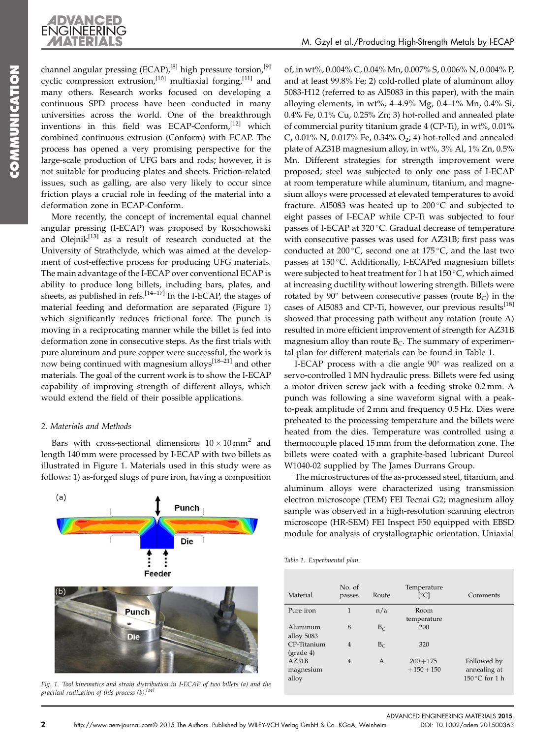

channel angular pressing (ECAP),<sup>[8]</sup> high pressure torsion,<sup>[9]</sup> cyclic compression extrusion,<sup>[10]</sup> multiaxial forging,<sup>[11]</sup> and many others. Research works focused on developing a continuous SPD process have been conducted in many universities across the world. One of the breakthrough inventions in this field was ECAP-Conform,<sup>[12]</sup> which combined continuous extrusion (Conform) with ECAP. The process has opened a very promising perspective for the large-scale production of UFG bars and rods; however, it is not suitable for producing plates and sheets. Friction-related issues, such as galling, are also very likely to occur since friction plays a crucial role in feeding of the material into a deformation zone in ECAP-Conform.

**NCEL** 

**ENGINEERING** 

More recently, the concept of incremental equal channel angular pressing (I-ECAP) was proposed by Rosochowski and Olejni $k^{[13]}$  as a result of research conducted at the University of Strathclyde, which was aimed at the development of cost-effective process for producing UFG materials. The main advantage of the I-ECAP over conventional ECAP is ability to produce long billets, including bars, plates, and sheets, as published in refs.<sup>[14–17]</sup> In the I-ECAP, the stages of material feeding and deformation are separated (Figure 1) which significantly reduces frictional force. The punch is moving in a reciprocating manner while the billet is fed into deformation zone in consecutive steps. As the first trials with pure aluminum and pure copper were successful, the work is now being continued with magnesium alloys<sup>[18-21]</sup> and other materials. The goal of the current work is to show the I-ECAP capability of improving strength of different alloys, which would extend the field of their possible applications.

#### 2. Materials and Methods

Bars with cross-sectional dimensions  $10 \times 10$  mm<sup>2</sup> and length 140 mm were processed by I-ECAP with two billets as illustrated in Figure 1. Materials used in this study were as follows: 1) as-forged slugs of pure iron, having a composition of, in wt%, 0.004% C, 0.04% Mn, 0.007% S, 0.006% N, 0.004% P, and at least 99.8% Fe; 2) cold-rolled plate of aluminum alloy 5083-H12 (referred to as Al5083 in this paper), with the main alloying elements, in wt%, 4–4.9% Mg, 0.4–1% Mn, 0.4% Si, 0.4% Fe, 0.1% Cu, 0.25% Zn; 3) hot-rolled and annealed plate of commercial purity titanium grade 4 (CP-Ti), in wt%, 0.01% C, 0.01% N, 0.017% Fe, 0.34% O<sub>2</sub>; 4) hot-rolled and annealed plate of AZ31B magnesium alloy, in wt%, 3% Al, 1% Zn, 0.5% Mn. Different strategies for strength improvement were proposed; steel was subjected to only one pass of I-ECAP at room temperature while aluminum, titanium, and magnesium alloys were processed at elevated temperatures to avoid fracture. Al5083 was heated up to  $200^{\circ}$ C and subjected to eight passes of I-ECAP while CP-Ti was subjected to four passes of I-ECAP at 320 °C. Gradual decrease of temperature with consecutive passes was used for AZ31B; first pass was conducted at 200 $^{\circ}$ C, second one at 175 $^{\circ}$ C, and the last two passes at  $150^{\circ}$ C. Additionally, I-ECAPed magnesium billets were subjected to heat treatment for 1 h at 150 °C, which aimed at increasing ductility without lowering strength. Billets were rotated by  $90^\circ$  between consecutive passes (route  $B_C$ ) in the cases of Al5083 and CP-Ti, however, our previous results $^{[18]}$ showed that processing path without any rotation (route A) resulted in more efficient improvement of strength for AZ31B magnesium alloy than route  $B<sub>C</sub>$ . The summary of experimental plan for different materials can be found in Table 1.

I-ECAP process with a die angle 90° was realized on a servo-controlled 1 MN hydraulic press. Billets were fed using a motor driven screw jack with a feeding stroke 0.2 mm. A punch was following a sine waveform signal with a peakto-peak amplitude of 2 mm and frequency 0.5 Hz. Dies were preheated to the processing temperature and the billets were heated from the dies. Temperature was controlled using a thermocouple placed 15 mm from the deformation zone. The billets were coated with a graphite-based lubricant Durcol W1040-02 supplied by The James Durrans Group.

The microstructures of the as-processed steel, titanium, and aluminum alloys were characterized using transmission electron microscope (TEM) FEI Tecnai G2; magnesium alloy sample was observed in a high-resolution scanning electron microscope (HR-SEM) FEI Inspect F50 equipped with EBSD module for analysis of crystallographic orientation. Uniaxial

|  |  |  | Table 1. Experimental plan. |  |  |
|--|--|--|-----------------------------|--|--|
|--|--|--|-----------------------------|--|--|

| Material                              | No. of<br>passes    | Route          | Temperature<br>$\lceil$ °C] | Comments                                               |
|---------------------------------------|---------------------|----------------|-----------------------------|--------------------------------------------------------|
| Pure iron                             | 1                   | n/a            | Room                        |                                                        |
| Aluminum<br>alloy 5083<br>CP-Titanium | 8<br>$\overline{4}$ | $B_C$<br>$B_C$ | temperature<br>200<br>320   |                                                        |
| $(grade 4)$                           |                     |                |                             |                                                        |
| AZ31B<br>magnesium<br>alloy           | $\overline{4}$      | A              | $200 + 175$<br>$+150+150$   | Followed by<br>annealing at<br>$150^{\circ}$ C for 1 h |



Fig. 1. Tool kinematics and strain distribution in I-ECAP of two billets (a) and the practical realization of this process  $(b)$ .<sup>[14]</sup>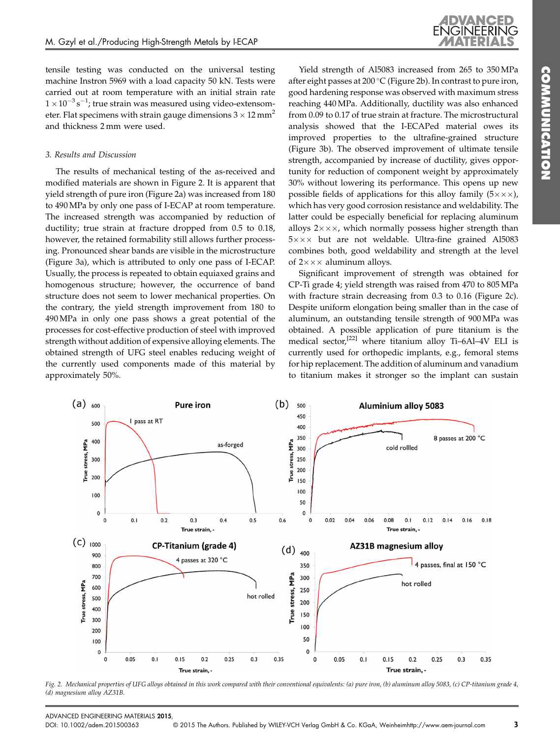tensile testing was conducted on the universal testing machine Instron 5969 with a load capacity 50 kN. Tests were carried out at room temperature with an initial strain rate  $1 \times 10^{-3}$  s<sup>-1</sup>; true strain was measured using video-extensometer. Flat specimens with strain gauge dimensions  $3 \times 12$  mm<sup>2</sup> and thickness 2 mm were used.

## 3. Results and Discussion

 $(a)$   $_{600}$ 

True stress, MPa

500

400

300

200

The results of mechanical testing of the as-received and modified materials are shown in Figure 2. It is apparent that yield strength of pure iron (Figure 2a) was increased from 180 to 490 MPa by only one pass of I-ECAP at room temperature. The increased strength was accompanied by reduction of ductility; true strain at fracture dropped from 0.5 to 0.18, however, the retained formability still allows further processing. Pronounced shear bands are visible in the microstructure (Figure 3a), which is attributed to only one pass of I-ECAP. Usually, the process is repeated to obtain equiaxed grains and homogenous structure; however, the occurrence of band structure does not seem to lower mechanical properties. On the contrary, the yield strength improvement from 180 to 490 MPa in only one pass shows a great potential of the processes for cost-effective production of steel with improved strength without addition of expensive alloying elements. The obtained strength of UFG steel enables reducing weight of the currently used components made of this material by approximately 50%.

I pass at RT

**Pure iron** 

as-forged

Yield strength of Al5083 increased from 265 to 350 MPa after eight passes at 200 °C (Figure 2b). In contrast to pure iron, good hardening response was observed with maximum stress reaching 440 MPa. Additionally, ductility was also enhanced from 0.09 to 0.17 of true strain at fracture. The microstructural analysis showed that the I-ECAPed material owes its improved properties to the ultrafine-grained structure (Figure 3b). The observed improvement of ultimate tensile strength, accompanied by increase of ductility, gives opportunity for reduction of component weight by approximately 30% without lowering its performance. This opens up new possible fields of applications for this alloy family  $(5 \times \times \times)$ , which has very good corrosion resistance and weldability. The latter could be especially beneficial for replacing aluminum alloys  $2 \times \times \times$ , which normally possess higher strength than  $5 \times \times \times$  but are not weldable. Ultra-fine grained Al5083 combines both, good weldability and strength at the level of  $2 \times \times \times$  aluminum alloys.

Significant improvement of strength was obtained for CP-Ti grade 4; yield strength was raised from 470 to 805 MPa with fracture strain decreasing from 0.3 to 0.16 (Figure 2c). Despite uniform elongation being smaller than in the case of aluminum, an outstanding tensile strength of 900 MPa was obtained. A possible application of pure titanium is the medical sector,<sup>[22]</sup> where titanium alloy Ti-6Al-4V ELI is currently used for orthopedic implants, e.g., femoral stems for hip replacement. The addition of aluminum and vanadium to titanium makes it stronger so the implant can sustain

**Aluminium alloy 5083** 

cold rollled

8 passes at 200 °C



 $(b)$ 

500

450

400 350

300

250 200

150

MPa

True stress,

Fig. 2. Mechanical properties of UFG alloys obtained in this work compared with their conventional equivalents: (a) pure iron, (b) aluminum alloy 5083, (c) CP-titanium grade 4, (d) magnesium alloy AZ31B.

COMMUNICATION

**COMMUNICATION**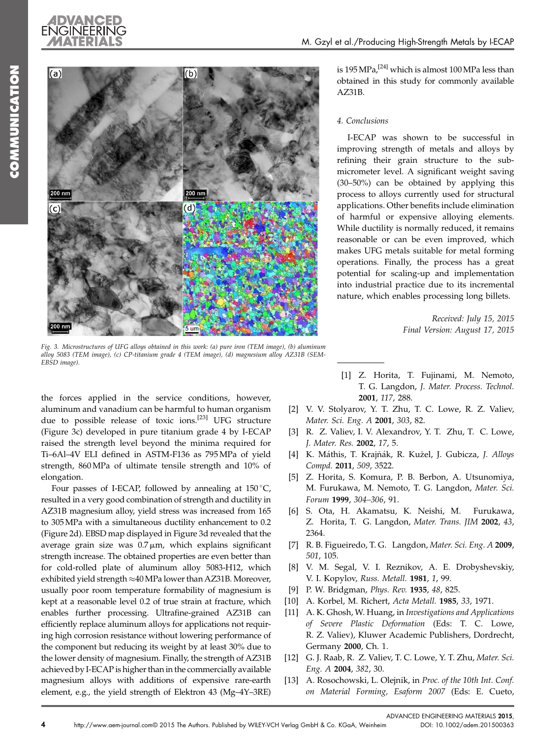



Fig. 3. Microstructures of UFG alloys obtained in this work: (a) pure iron (TEM image), (b) aluminum alloy 5083 (TEM image), (c) CP-titanium grade 4 (TEM image), (d) magnesium alloy AZ31B (SEM-EBSD image).

the forces applied in the service conditions, however, aluminum and vanadium can be harmful to human organism due to possible release of toxic ions.<sup>[23]</sup> UFG structure (Figure 3c) developed in pure titanium grade 4 by I-ECAP raised the strength level beyond the minima required for Ti–6Al–4V ELI defined in ASTM-F136 as 795 MPa of yield strength, 860 MPa of ultimate tensile strength and 10% of elongation.

Four passes of I-ECAP, followed by annealing at  $150^{\circ}$ C, resulted in a very good combination of strength and ductility in AZ31B magnesium alloy, yield stress was increased from 165 to 305MPa with a simultaneous ductility enhancement to 0.2 (Figure 2d). EBSD map displayed in Figure 3d revealed that the average grain size was  $0.7 \mu m$ , which explains significant strength increase. The obtained properties are even better than for cold-rolled plate of aluminum alloy 5083-H12, which exhibited yield strength  $\approx$  40 MPa lower than AZ31B. Moreover, usually poor room temperature formability of magnesium is kept at a reasonable level 0.2 of true strain at fracture, which enables further processing. Ultrafine-grained AZ31B can efficiently replace aluminum alloys for applications not requiring high corrosion resistance without lowering performance of the component but reducing its weight by at least 30% due to the lower density of magnesium. Finally, the strength of AZ31B achieved by I-ECAP is higher than in the commercially available magnesium alloys with additions of expensive rare-earth element, e.g., the yield strength of Elektron 43 (Mg–4Y–3RE)

is  $195 \text{ MPa}$ ,  $^{[24]}$  which is almost  $100 \text{ MPa}$  less than obtained in this study for commonly available AZ31B.

## 4. Conclusions

I-ECAP was shown to be successful in improving strength of metals and alloys by refining their grain structure to the submicrometer level. A significant weight saving (30–50%) can be obtained by applying this process to alloys currently used for structural applications. Other benefits include elimination of harmful or expensive alloying elements. While ductility is normally reduced, it remains reasonable or can be even improved, which makes UFG metals suitable for metal forming operations. Finally, the process has a great potential for scaling-up and implementation into industrial practice due to its incremental nature, which enables processing long billets.

> Received: July 15, 2015 Final Version: August 17, 2015

- [1] Z. Horita, T. Fujinami, M. Nemoto, T. G. Langdon, J. Mater. Process. Technol. 2001, 117, 288.
- [2] V. V. Stolyarov, Y. T. Zhu, T. C. Lowe, R. Z. Valiev, Mater. Sci. Eng. A 2001, 303, 82.
- [3] R. Z. Valiev, I. V. Alexandrov, Y. T. Zhu, T. C. Lowe, J. Mater. Res. 2002, 17, 5.
- [4] K. Máthis, T. Krajňák, R. Kužel, J. Gubicza, J. Alloys Compd. 2011, 509, 3522.
- [5] Z. Horita, S. Komura, P. B. Berbon, A. Utsunomiya, M. Furukawa, M. Nemoto, T. G. Langdon, Mater. Sci. Forum 1999, 304–306, 91.
- [6] S. Ota, H. Akamatsu, K. Neishi, M. Furukawa, Z. Horita, T. G. Langdon, Mater. Trans. JIM 2002, 43, 2364.
- [7] R. B. Figueiredo, T. G. Langdon, Mater. Sci. Eng. A 2009, 501, 105.
- [8] V. M. Segal, V. I. Reznikov, A. E. Drobyshevskiy, V. I. Kopylov, Russ. Metall. 1981, 1, 99.
- [9] P. W. Bridgman, Phys. Rev. 1935, 48, 825.
- [10] A. Korbel, M. Richert, Acta Metall. 1985, 33, 1971.
- [11] A. K. Ghosh, W. Huang, in Investigations and Applications of Severe Plastic Deformation (Eds: T. C. Lowe, R. Z. Valiev), Kluwer Academic Publishers, Dordrecht, Germany 2000, Ch. 1.
- [12] G. J. Raab, R. Z. Valiev, T. C. Lowe, Y. T. Zhu, Mater. Sci. Eng. A 2004, 382, 30.
- [13] A. Rosochowski, L. Olejnik, in Proc. of the 10th Int. Conf. on Material Forming, Esaform 2007 (Eds: E. Cueto,

ADVANCED ENGINEERING MATERIALS 2015,